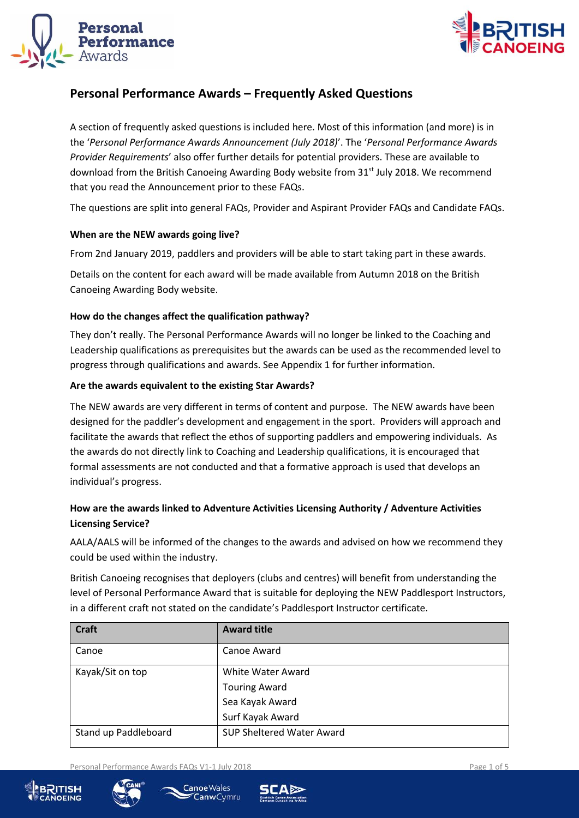



# **Personal Performance Awards – Frequently Asked Questions**

A section of frequently asked questions is included here. Most of this information (and more) is in the '*Personal Performance Awards Announcement (July 2018)*'. The '*Personal Performance Awards Provider Requirements*' also offer further details for potential providers. These are available to download from the British Canoeing Awarding Body website from 31<sup>st</sup> July 2018. We recommend that you read the Announcement prior to these FAQs.

The questions are split into general FAQs, Provider and Aspirant Provider FAQs and Candidate FAQs.

### **When are the NEW awards going live?**

From 2nd January 2019, paddlers and providers will be able to start taking part in these awards.

Details on the content for each award will be made available from Autumn 2018 on the British Canoeing Awarding Body website.

### **How do the changes affect the qualification pathway?**

They don't really. The Personal Performance Awards will no longer be linked to the Coaching and Leadership qualifications as prerequisites but the awards can be used as the recommended level to progress through qualifications and awards. See Appendix 1 for further information.

### **Are the awards equivalent to the existing Star Awards?**

The NEW awards are very different in terms of content and purpose. The NEW awards have been designed for the paddler's development and engagement in the sport. Providers will approach and facilitate the awards that reflect the ethos of supporting paddlers and empowering individuals. As the awards do not directly link to Coaching and Leadership qualifications, it is encouraged that formal assessments are not conducted and that a formative approach is used that develops an individual's progress.

# **How are the awards linked to Adventure Activities Licensing Authority / Adventure Activities Licensing Service?**

AALA/AALS will be informed of the changes to the awards and advised on how we recommend they could be used within the industry.

British Canoeing recognises that deployers (clubs and centres) will benefit from understanding the level of Personal Performance Award that is suitable for deploying the NEW Paddlesport Instructors, in a different craft not stated on the candidate's Paddlesport Instructor certificate.

| <b>Craft</b>         | <b>Award title</b>               |  |
|----------------------|----------------------------------|--|
| Canoe                | Canoe Award                      |  |
| Kayak/Sit on top     | White Water Award                |  |
|                      | <b>Touring Award</b>             |  |
|                      | Sea Kayak Award                  |  |
|                      | Surf Kayak Award                 |  |
| Stand up Paddleboard | <b>SUP Sheltered Water Award</b> |  |

Personal Performance Awards FAQs V1-1 July 2018 Page 1 of 5





 $CamwCymru$ 

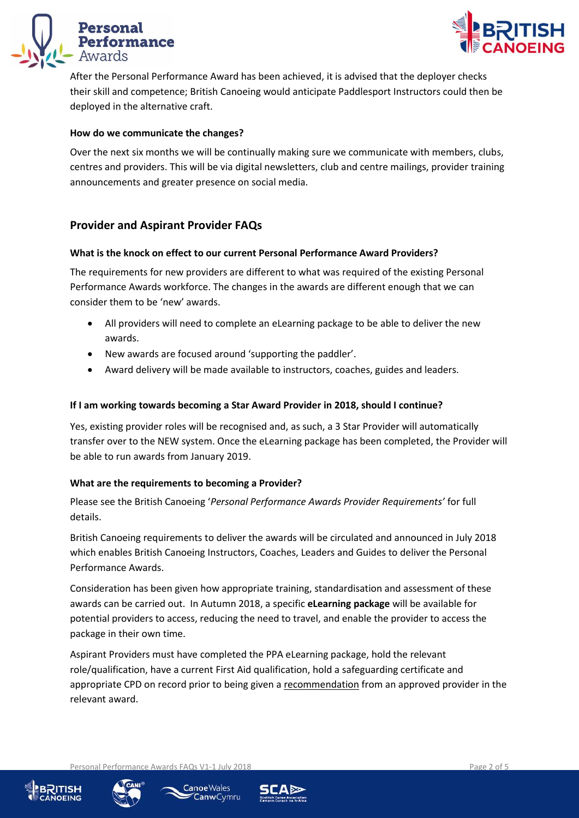



After the Personal Performance Award has been achieved, it is advised that the deployer checks their skill and competence; British Canoeing would anticipate Paddlesport Instructors could then be deployed in the alternative craft.

### **How do we communicate the changes?**

Over the next six months we will be continually making sure we communicate with members, clubs, centres and providers. This will be via digital newsletters, club and centre mailings, provider training announcements and greater presence on social media.

# **Provider and Aspirant Provider FAQs**

### **What is the knock on effect to our current Personal Performance Award Providers?**

The requirements for new providers are different to what was required of the existing Personal Performance Awards workforce. The changes in the awards are different enough that we can consider them to be 'new' awards.

- All providers will need to complete an eLearning package to be able to deliver the new awards.
- New awards are focused around 'supporting the paddler'.
- Award delivery will be made available to instructors, coaches, guides and leaders.

### **If I am working towards becoming a Star Award Provider in 2018, should I continue?**

Yes, existing provider roles will be recognised and, as such, a 3 Star Provider will automatically transfer over to the NEW system. Once the eLearning package has been completed, the Provider will be able to run awards from January 2019.

### **What are the requirements to becoming a Provider?**

Please see the British Canoeing '*Personal Performance Awards Provider Requirements'* for full details.

British Canoeing requirements to deliver the awards will be circulated and announced in July 2018 which enables British Canoeing Instructors, Coaches, Leaders and Guides to deliver the Personal Performance Awards.

Consideration has been given how appropriate training, standardisation and assessment of these awards can be carried out. In Autumn 2018, a specific **eLearning package** will be available for potential providers to access, reducing the need to travel, and enable the provider to access the package in their own time.

Aspirant Providers must have completed the PPA eLearning package, hold the relevant role/qualification, have a current First Aid qualification, hold a safeguarding certificate and appropriate CPD on record prior to being given a recommendation from an approved provider in the relevant award.

Personal Performance Awards FAOs V1-1 July 2018 Page 2 of 5







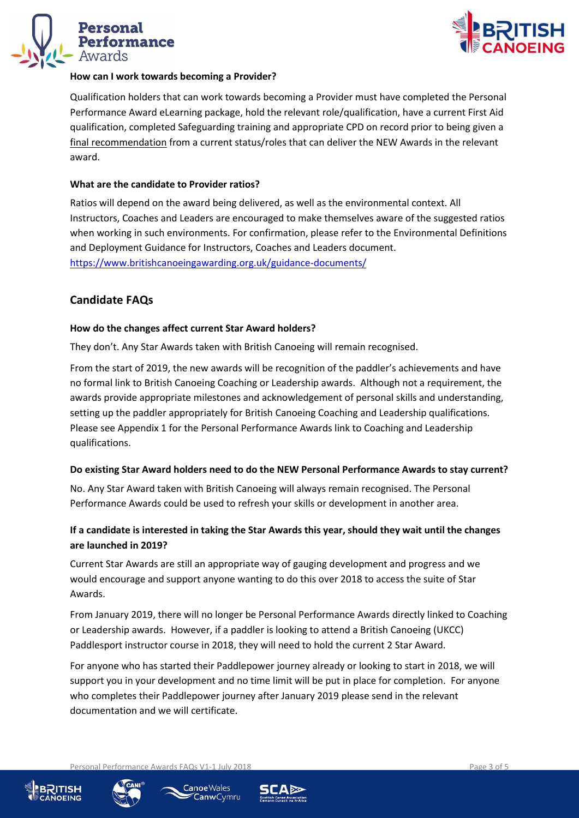



### **How can I work towards becoming a Provider?**

Qualification holders that can work towards becoming a Provider must have completed the Personal Performance Award eLearning package, hold the relevant role/qualification, have a current First Aid qualification, completed Safeguarding training and appropriate CPD on record prior to being given a final recommendation from a current status/roles that can deliver the NEW Awards in the relevant award.

### **What are the candidate to Provider ratios?**

Ratios will depend on the award being delivered, as well as the environmental context. All Instructors, Coaches and Leaders are encouraged to make themselves aware of the suggested ratios when working in such environments. For confirmation, please refer to the Environmental Definitions and Deployment Guidance for Instructors, Coaches and Leaders document. <https://www.britishcanoeingawarding.org.uk/guidance-documents/>

# **Candidate FAQs**

### **How do the changes affect current Star Award holders?**

They don't. Any Star Awards taken with British Canoeing will remain recognised.

From the start of 2019, the new awards will be recognition of the paddler's achievements and have no formal link to British Canoeing Coaching or Leadership awards. Although not a requirement, the awards provide appropriate milestones and acknowledgement of personal skills and understanding, setting up the paddler appropriately for British Canoeing Coaching and Leadership qualifications. Please see Appendix 1 for the Personal Performance Awards link to Coaching and Leadership qualifications.

### **Do existing Star Award holders need to do the NEW Personal Performance Awards to stay current?**

No. Any Star Award taken with British Canoeing will always remain recognised. The Personal Performance Awards could be used to refresh your skills or development in another area.

# **If a candidate is interested in taking the Star Awards this year, should they wait until the changes are launched in 2019?**

Current Star Awards are still an appropriate way of gauging development and progress and we would encourage and support anyone wanting to do this over 2018 to access the suite of Star Awards.

From January 2019, there will no longer be Personal Performance Awards directly linked to Coaching or Leadership awards. However, if a paddler is looking to attend a British Canoeing (UKCC) Paddlesport instructor course in 2018, they will need to hold the current 2 Star Award.

For anyone who has started their Paddlepower journey already or looking to start in 2018, we will support you in your development and no time limit will be put in place for completion. For anyone who completes their Paddlepower journey after January 2019 please send in the relevant documentation and we will certificate.

Personal Performance Awards FAQs V1-1 July 2018 **Page 3 of 5** and 2018 Page 3 of 5







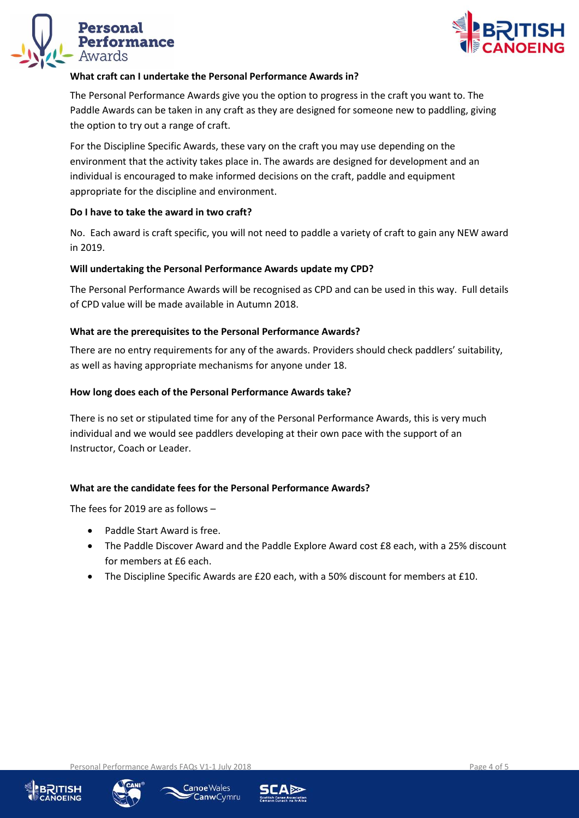



### **What craft can I undertake the Personal Performance Awards in?**

The Personal Performance Awards give you the option to progress in the craft you want to. The Paddle Awards can be taken in any craft as they are designed for someone new to paddling, giving the option to try out a range of craft.

For the Discipline Specific Awards, these vary on the craft you may use depending on the environment that the activity takes place in. The awards are designed for development and an individual is encouraged to make informed decisions on the craft, paddle and equipment appropriate for the discipline and environment.

#### **Do I have to take the award in two craft?**

No. Each award is craft specific, you will not need to paddle a variety of craft to gain any NEW award in 2019.

#### **Will undertaking the Personal Performance Awards update my CPD?**

The Personal Performance Awards will be recognised as CPD and can be used in this way. Full details of CPD value will be made available in Autumn 2018.

#### **What are the prerequisites to the Personal Performance Awards?**

There are no entry requirements for any of the awards. Providers should check paddlers' suitability, as well as having appropriate mechanisms for anyone under 18.

### **How long does each of the Personal Performance Awards take?**

There is no set or stipulated time for any of the Personal Performance Awards, this is very much individual and we would see paddlers developing at their own pace with the support of an Instructor, Coach or Leader.

### **What are the candidate fees for the Personal Performance Awards?**

The fees for 2019 are as follows –

- Paddle Start Award is free.
- The Paddle Discover Award and the Paddle Explore Award cost £8 each, with a 25% discount for members at £6 each.
- The Discipline Specific Awards are £20 each, with a 50% discount for members at £10.

Personal Performance Awards FAOs V1-1 July 2018 **Page 4 of 5** and 2018 Page 4 of 5